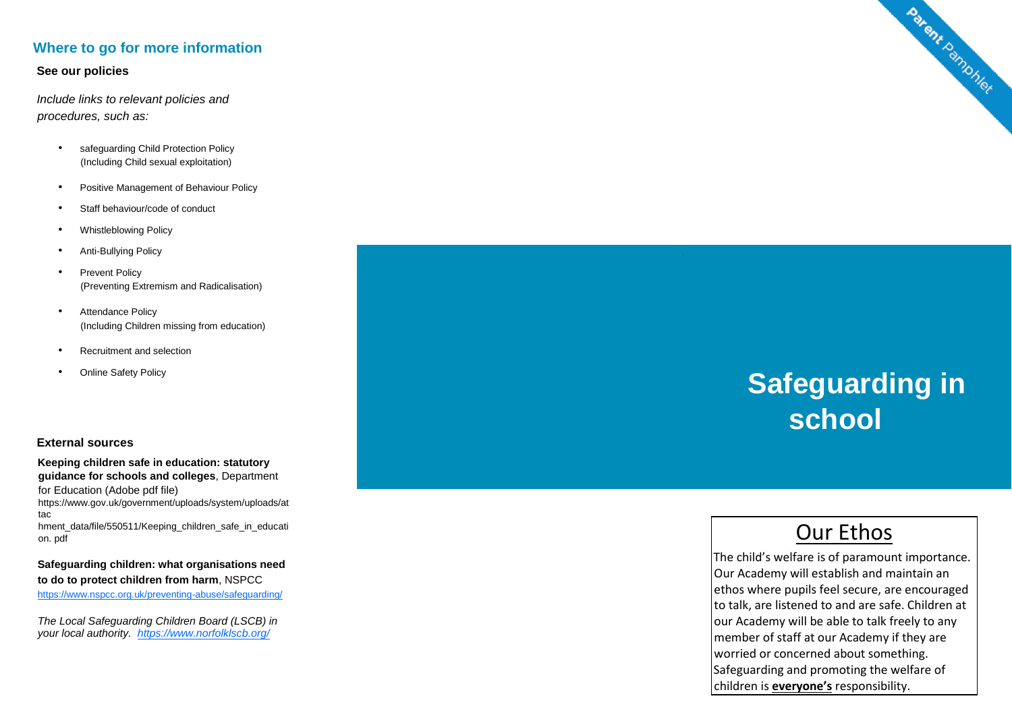#### **Where to go for more information**

#### **See our policies**

*Include links to relevant policies and procedures, such as:* 

- safeguarding Child Protection Policy (Including Child sexual exploitation)
- Positive Management of Behaviour Policy
- Staff behaviour/code of conduct
- Whistleblowing Policy
- Anti-Bullying Policy
- Prevent Policy (Preventing Extremism and Radicalisation)
- Attendance Policy (Including Children missing from education)
- Recruitment and selection
- **Online Safety Policy**

#### **External sources**

**Keeping children safe in education: statutory guidance for schools and colleges**, Department for Education (Adobe pdf file)

https://www.gov.uk/government/uploads/system/uploads/at tac

hment\_data/file/550511/Keeping\_children\_safe\_in\_educati on. pdf

**Safeguarding children: what organisations need to do to protect children from harm**, NSPCC [https://www.nspcc.org.uk/preventing](https://www.nspcc.org.uk/preventing-abuse/safeguarding/) [-abuse/safeguarding/](https://www.nspcc.org.uk/preventing-abuse/safeguarding/)

*The Local Safeguarding Children Board (LSCB) in your local authority. <https://www.norfolklscb.org/>*



# **Safeguarding in school**

# Our Ethos

The child's welfare is of paramount importance. Our Academy will establish and maintain an ethos where pupils feel secure, are encouraged to talk, are listened to and are safe. Children at our Academy will be able to talk freely to any member of staff at our Academy if they are worried or concerned about something. Safeguarding and promoting the welfare of children is **everyone's** responsibility.